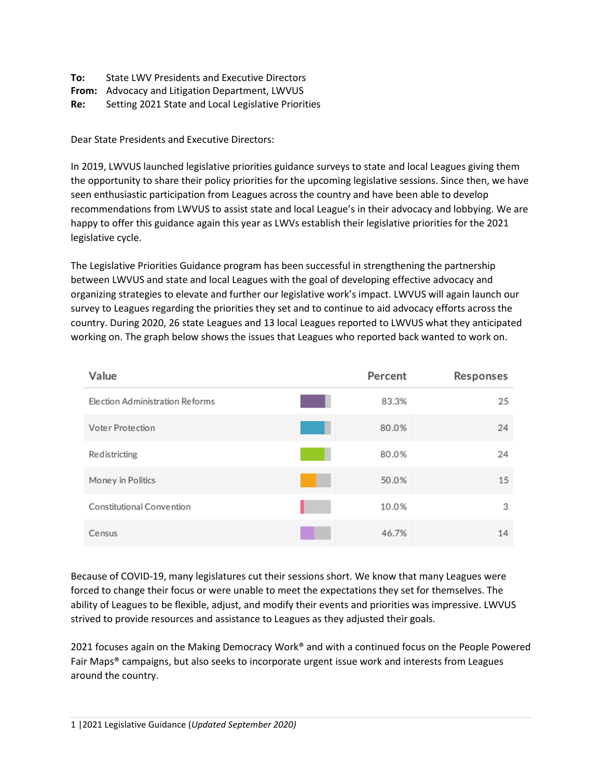| To: | <b>State LWV Presidents and Executive Directors</b> |
|-----|-----------------------------------------------------|
|     | From: Advocacy and Litigation Department, LWVUS     |
| Re: | Setting 2021 State and Local Legislative Priorities |

Dear State Presidents and Executive Directors:

In 2019, LWVUS launched legislative priorities guidance surveys to state and local Leagues giving them the opportunity to share their policy priorities for the upcoming legislative sessions. Since then, we have seen enthusiastic participation from Leagues across the country and have been able to develop recommendations from LWVUS to assist state and local League's in their advocacy and lobbying. We are happy to offer this guidance again this year as LWVs establish their legislative priorities for the 2021 legislative cycle.

The Legislative Priorities Guidance program has been successful in strengthening the partnership between LWVUS and state and local Leagues with the goal of developing effective advocacy and organizing strategies to elevate and further our legislative work's impact. LWVUS will again launch our survey to Leagues regarding the priorities they set and to continue to aid advocacy efforts across the country. During 2020, 26 state Leagues and 13 local Leagues reported to LWVUS what they anticipated working on. The graph below shows the issues that Leagues who reported back wanted to work on.

| <b>Value</b>                     | <b>Percent</b> | <b>Responses</b> |
|----------------------------------|----------------|------------------|
| Election Administration Reforms  | 83.3%          | 25               |
| <b>Voter Protection</b>          | 80.0%          | 24               |
| Redistricting                    | 80.0%          | 24               |
| Money in Politics                | 50.0%          | 15               |
| <b>Constitutional Convention</b> | 10.0%          | 3                |
| Census                           | 46.7%          | 14               |

Because of COVID-19, many legislatures cut their sessions short. We know that many Leagues were forced to change their focus or were unable to meet the expectations they set for themselves. The ability of Leagues to be flexible, adjust, and modify their events and priorities was impressive. LWVUS strived to provide resources and assistance to Leagues as they adjusted their goals.

2021 focuses again on the Making Democracy Work® and with a continued focus on the People Powered Fair Maps® campaigns, but also seeks to incorporate urgent issue work and interests from Leagues around the country.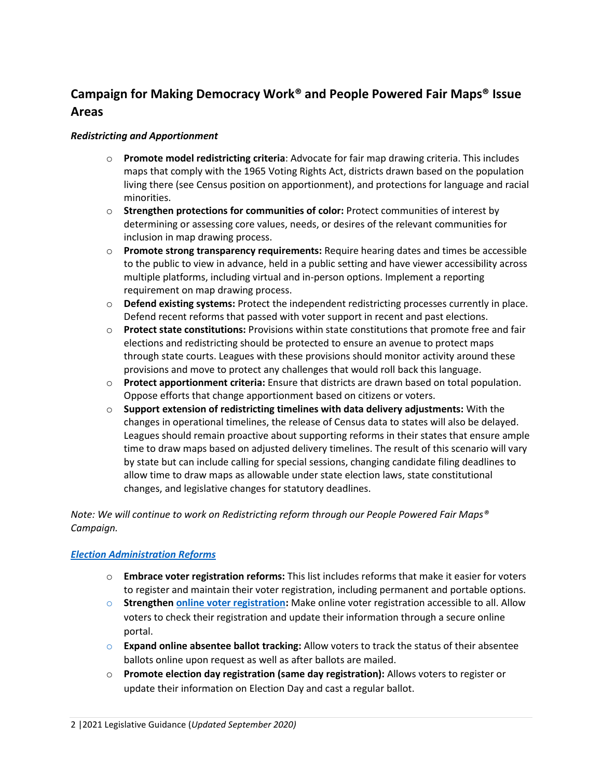# **Campaign for Making Democracy Work® and People Powered Fair Maps® Issue Areas**

#### *Redistricting and Apportionment*

- o **Promote model redistricting criteria**: Advocate for fair map drawing criteria. This includes maps that comply with the 1965 Voting Rights Act, districts drawn based on the population living there (see Census position on apportionment), and protections for language and racial minorities.
- o **Strengthen protections for communities of color:** Protect communities of interest by determining or assessing core values, needs, or desires of the relevant communities for inclusion in map drawing process.
- o **Promote strong transparency requirements:** Require hearing dates and times be accessible to the public to view in advance, held in a public setting and have viewer accessibility across multiple platforms, including virtual and in-person options. Implement a reporting requirement on map drawing process.
- o **Defend existing systems:** Protect the independent redistricting processes currently in place. Defend recent reforms that passed with voter support in recent and past elections.
- o **Protect state constitutions:** Provisions within state constitutions that promote free and fair elections and redistricting should be protected to ensure an avenue to protect maps through state courts. Leagues with these provisions should monitor activity around these provisions and move to protect any challenges that would roll back this language.
- o **Protect apportionment criteria:** Ensure that districts are drawn based on total population. Oppose efforts that change apportionment based on citizens or voters.
- o **Support extension of redistricting timelines with data delivery adjustments:** With the changes in operational timelines, the release of Census data to states will also be delayed. Leagues should remain proactive about supporting reforms in their states that ensure ample time to draw maps based on adjusted delivery timelines. The result of this scenario will vary by state but can include calling for special sessions, changing candidate filing deadlines to allow time to draw maps as allowable under state election laws, state constitutional changes, and legislative changes for statutory deadlines.

*Note: We will continue to work on Redistricting reform through our People Powered Fair Maps® Campaign.* 

### *[Election Administration Reforms](https://www.lwv.org/newsroom/press-releases/league-women-voters-urges-presidential-commission-election-administration)*

- o **Embrace voter registration reforms:** This list includes reforms that make it easier for voters to register and maintain their voter registration, including permanent and portable options.
- o **Strengthen [online voter registration:](https://www.lwv.org/league-management/elections-tools/election-reform-online-voter-registration)** Make online voter registration accessible to all. Allow voters to check their registration and update their information through a secure online portal.
- o **Expand online absentee ballot tracking:** Allow voters to track the status of their absentee ballots online upon request as well as after ballots are mailed.
- o **Promote election day registration (same day registration):** Allows voters to register or update their information on Election Day and cast a regular ballot.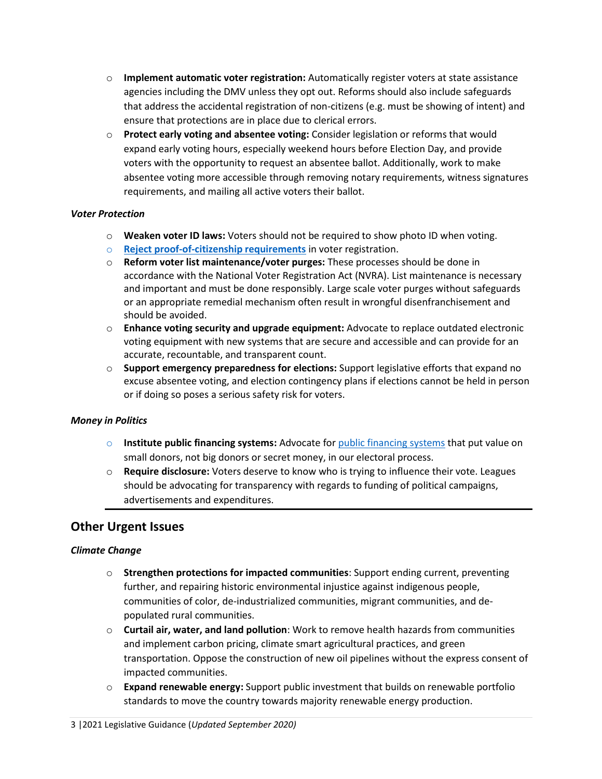- o **Implement automatic voter registration:** Automatically register voters at state assistance agencies including the DMV unless they opt out. Reforms should also include safeguards that address the accidental registration of non-citizens (e.g. must be showing of intent) and ensure that protections are in place due to clerical errors.
- o **Protect early voting and absentee voting:** Consider legislation or reforms that would expand early voting hours, especially weekend hours before Election Day, and provide voters with the opportunity to request an absentee ballot. Additionally, work to make absentee voting more accessible through removing notary requirements, witness signatures requirements, and mailing all active voters their ballot.

#### *Voter Protection*

- o **Weaken voter ID laws:** Voters should not be required to show photo ID when voting.
- o **[Reject proof-of-citizenship requirements](https://www.lwv.org/blog/problem-requiring-proof-citizenship-during-voter-registration-process)** in voter registration.
- o **Reform voter list maintenance/voter purges:** These processes should be done in accordance with the National Voter Registration Act (NVRA). List maintenance is necessary and important and must be done responsibly. Large scale voter purges without safeguards or an appropriate remedial mechanism often result in wrongful disenfranchisement and should be avoided.
- o **Enhance voting security and upgrade equipment:** Advocate to replace outdated electronic voting equipment with new systems that are secure and accessible and can provide for an accurate, recountable, and transparent count.
- o **Support emergency preparedness for elections:** Support legislative efforts that expand no excuse absentee voting, and election contingency plans if elections cannot be held in person or if doing so poses a serious safety risk for voters.

#### *Money in Politics*

- o **Institute public financing systems:** Advocate for [public financing systems](https://www.lwv.org/league-management/voting-rights-tools/money-politics-state-template-campaign-finance-regulation) that put value on small donors, not big donors or secret money, in our electoral process.
- o **Require disclosure:** Voters deserve to know who is trying to influence their vote. Leagues should be advocating for transparency with regards to funding of political campaigns, advertisements and expenditures.

## **Other Urgent Issues**

### *Climate Change*

- o **Strengthen protections for impacted communities**: Support ending current, preventing further, and repairing historic environmental injustice against indigenous people, communities of color, de-industrialized communities, migrant communities, and depopulated rural communities.
- o **Curtail air, water, and land pollution**: Work to remove health hazards from communities and implement carbon pricing, climate smart agricultural practices, and green transportation. Oppose the construction of new oil pipelines without the express consent of impacted communities.
- o **Expand renewable energy:** Support public investment that builds on renewable portfolio standards to move the country towards majority renewable energy production.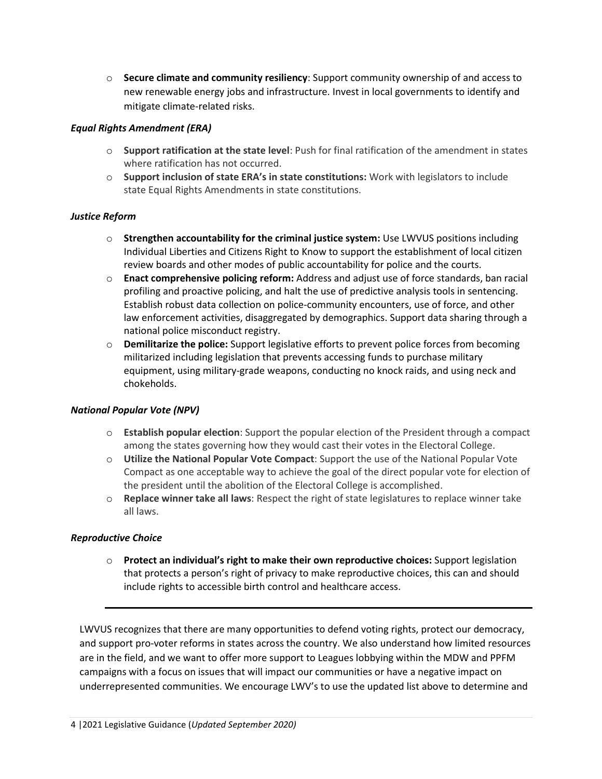o **Secure climate and community resiliency**: Support community ownership of and access to new renewable energy jobs and infrastructure. Invest in local governments to identify and mitigate climate-related risks.

### *Equal Rights Amendment (ERA)*

- o **Support ratification at the state level**: Push for final ratification of the amendment in states where ratification has not occurred.
- o **Support inclusion of state ERA's in state constitutions:** Work with legislators to include state Equal Rights Amendments in state constitutions.

### *Justice Reform*

- o **Strengthen accountability for the criminal justice system:** Use LWVUS positions including Individual Liberties and Citizens Right to Know to support the establishment of local citizen review boards and other modes of public accountability for police and the courts.
- o **Enact comprehensive policing reform:** Address and adjust use of force standards, ban racial profiling and proactive policing, and halt the use of predictive analysis tools in sentencing. Establish robust data collection on police-community encounters, use of force, and other law enforcement activities, disaggregated by demographics. Support data sharing through a national police misconduct registry.
- o **Demilitarize the police:** Support legislative efforts to prevent police forces from becoming militarized including legislation that prevents accessing funds to purchase military equipment, using military-grade weapons, conducting no knock raids, and using neck and chokeholds.

### *National Popular Vote (NPV)*

- o **Establish popular election**: Support the popular election of the President through a compact among the states governing how they would cast their votes in the Electoral College.
- o **Utilize the National Popular Vote Compact**: Support the use of the National Popular Vote Compact as one acceptable way to achieve the goal of the direct popular vote for election of the president until the abolition of the Electoral College is accomplished.
- o **Replace winner take all laws**: Respect the right of state legislatures to replace winner take all laws.

### *Reproductive Choice*

o **Protect an individual's right to make their own reproductive choices:** Support legislation that protects a person's right of privacy to make reproductive choices, this can and should include rights to accessible birth control and healthcare access.

LWVUS recognizes that there are many opportunities to defend voting rights, protect our democracy, and support pro-voter reforms in states across the country. We also understand how limited resources are in the field, and we want to offer more support to Leagues lobbying within the MDW and PPFM campaigns with a focus on issues that will impact our communities or have a negative impact on underrepresented communities. We encourage LWV's to use the updated list above to determine and